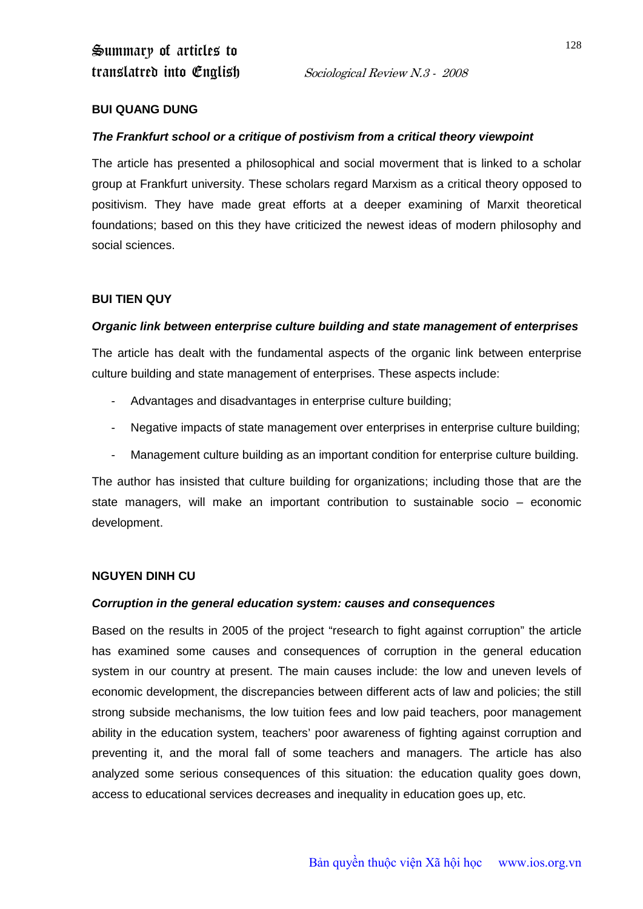## **BUI QUANG DUNG**

## *The Frankfurt school or a critique of postivism from a critical theory viewpoint*

The article has presented a philosophical and social moverment that is linked to a scholar group at Frankfurt university. These scholars regard Marxism as a critical theory opposed to positivism. They have made great efforts at a deeper examining of Marxit theoretical foundations; based on this they have criticized the newest ideas of modern philosophy and social sciences.

## **BUI TIEN QUY**

## *Organic link between enterprise culture building and state management of enterprises*

The article has dealt with the fundamental aspects of the organic link between enterprise culture building and state management of enterprises. These aspects include:

- Advantages and disadvantages in enterprise culture building;
- Negative impacts of state management over enterprises in enterprise culture building;
- Management culture building as an important condition for enterprise culture building.

The author has insisted that culture building for organizations; including those that are the state managers, will make an important contribution to sustainable socio – economic development.

#### **NGUYEN DINH CU**

#### *Corruption in the general education system: causes and consequences*

Based on the results in 2005 of the project "research to fight against corruption" the article has examined some causes and consequences of corruption in the general education system in our country at present. The main causes include: the low and uneven levels of economic development, the discrepancies between different acts of law and policies; the still strong subside mechanisms, the low tuition fees and low paid teachers, poor management ability in the education system, teachers' poor awareness of fighting against corruption and preventing it, and the moral fall of some teachers and managers. The article has also analyzed some serious consequences of this situation: the education quality goes down, access to educational services decreases and inequality in education goes up, etc.